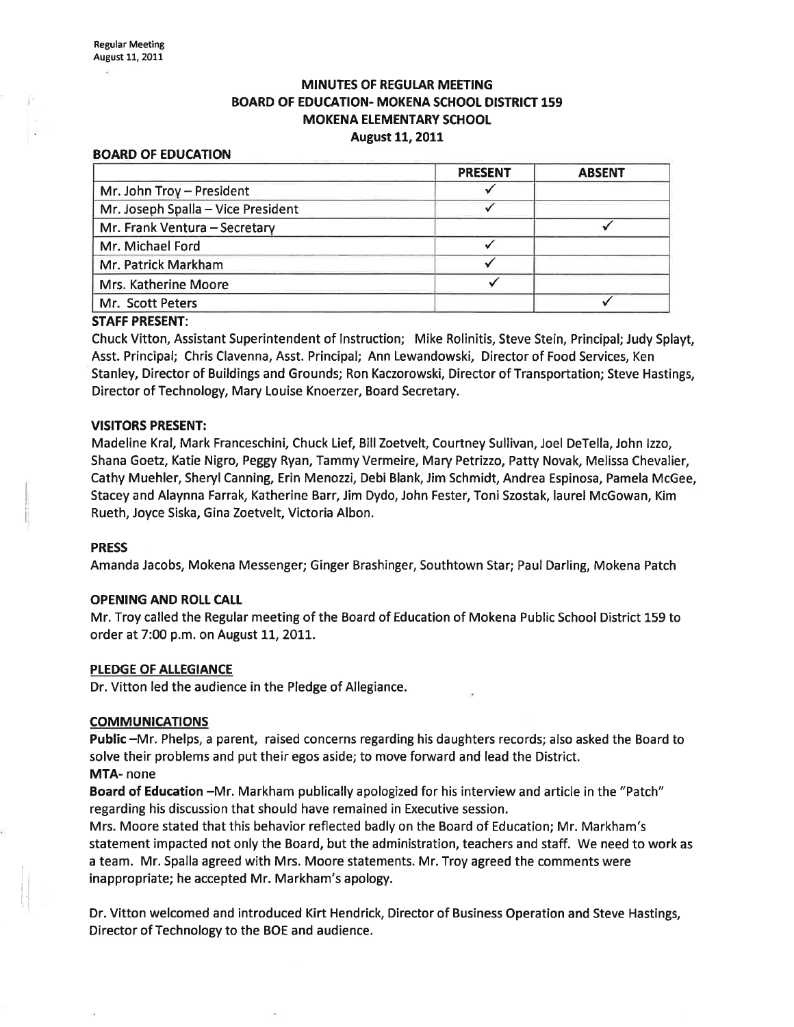## **MINUTES OF REGULAR MEETING** BOARD OF EDUCATION- MOKENA SCHOOL DISTRICT 159 **MOKENA ELEMENTARY SCHOOL** August 11, 2011

#### BOARD OF EDUCATION

|                                    | <b>PRESENT</b> | <b>ABSENT</b> |
|------------------------------------|----------------|---------------|
| Mr. John Troy - President          |                |               |
| Mr. Joseph Spalla - Vice President |                |               |
| Mr. Frank Ventura - Secretary      |                |               |
| Mr. Michael Ford                   |                |               |
| Mr. Patrick Markham                |                |               |
| Mrs. Katherine Moore               |                |               |
| Mr. Scott Peters                   |                |               |

#### STAFF PRESENT:

Chuck Vitton, Assistant Superintendent of lnstruction; Mike Rolinitis, Steve Stein, Principal; Judy Splayt, Asst. Principal; Chris Clavenna, Asst. Principal; Ann Lewandowski, Director of Food Services, Ken Stanley, Director of Buildings and Grounds; Ron Kaczorowski, Director of Transportation; Steve Hastings, Director of Technology, Mary Louise Knoerzer, Board Secretary.

#### VISITORS PRESENT:

Madeline Kral, Mark Franceschini, Chuck Lief, Bill Zoetvelt, Courtney Sullivan, Joel DeTella, John Izzo, Shana Goetz, Katie Nigro, Peggy Ryan, Tammy Vermeire, Mary Petrizzo, Patty Novak, Melissa Chevalier, Cathy Muehler, Sheryl Canning, Erin Menozzi, Debi Blank, Jim Schmidt, Andrea Espinosa, Pamela McGee, Stacey and Alaynna Farrak, Katherine Barr, Jim Dydo, John Fester, Toni Szostak, laurel McGowan, Kim Rueth, Joyce Siska, Gina Zoetvelt, Victoria Albon.

#### PRESS

Amanda Jacobs, Mokena Messenger; Ginger Brashinger, Southtown Star; Paul Darling, Mokena Patch

### OPENING AND ROLL CAtt

Mr. Troy called the Regular meeting of the Board of Education of Mokena Public School District 159 to order at 7:00 p.m. on August 11, 2011.

#### PLEDGE OF ALLEGIANCE

Dr. Vitton led the audience in the Pledge of Allegiance.

### **COMMUNICATIONS**

Public -Mr. Phelps, a parent, raised concerns regarding his daughters records; also asked the Board to solve their problems and put their egos aside; to move forward and lead the District. MTA- none

Board of Education -Mr. Markham publically apologized for his interview and article in the "Patch" regarding his discussion that should have remained in Executive session.

Mrs. Moore stated that this behavior reflected badly on the Board of Education; Mr. Markham's statement impacted not only the Board, but the administration, teachers and staff. We need to work as a team. Mr. Spalla agreed with Mrs. Moore statements. Mr. Troy agreed the comments were inappropriate; he accepted Mr. Markham's apology.

Dr. Vitton welcomed and introduced Kirt Hendrick, Director of Business Operation and Steve Hastings, Director of Technology to the BOE and audience.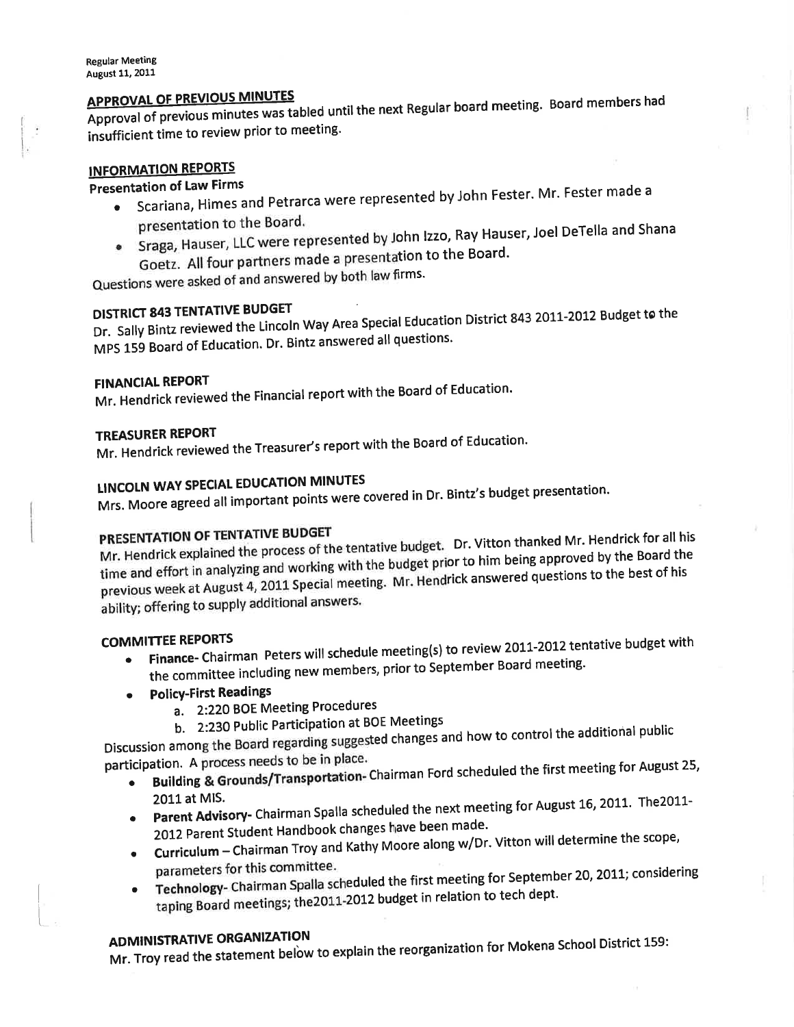# **APPROVAL OF PREVIOUS MINUTES**

Approval of previous minutes was tabled until the next Regular board meeting. Board members had insufficient time to review prior to meeting.

# **INFORMATION REPORTS**

# **Presentation of Law Firms**

- Scariana, Himes and Petrarca were represented by John Fester. Mr. Fester made a presentation to the Board.
- Sraga, Hauser, LLC were represented by John Izzo, Ray Hauser, Joel DeTella and Shana Goetz. All four partners made a presentation to the Board.

Questions were asked of and answered by both law firms.

# **DISTRICT 843 TENTATIVE BUDGET**

Dr. Sally Bintz reviewed the Lincoln Way Area Special Education District 843 2011-2012 Budget to the MPS 159 Board of Education. Dr. Bintz answered all questions.

## **FINANCIAL REPORT**

Mr. Hendrick reviewed the Financial report with the Board of Education.

## **TREASURER REPORT**

Mr. Hendrick reviewed the Treasurer's report with the Board of Education.

# **LINCOLN WAY SPECIAL EDUCATION MINUTES**

Mrs. Moore agreed all important points were covered in Dr. Bintz's budget presentation.

# PRESENTATION OF TENTATIVE BUDGET

Mr. Hendrick explained the process of the tentative budget. Dr. Vitton thanked Mr. Hendrick for all his time and effort in analyzing and working with the budget prior to him being approved by the Board the previous week at August 4, 2011 Special meeting. Mr. Hendrick answered questions to the best of his ability; offering to supply additional answers.

## **COMMITTEE REPORTS**

- Finance- Chairman Peters will schedule meeting(s) to review 2011-2012 tentative budget with the committee including new members, prior to September Board meeting.
- **Policy-First Readings** 
	- a. 2:220 BOE Meeting Procedures
	- b. 2:230 Public Participation at BOE Meetings

Discussion among the Board regarding suggested changes and how to control the additional public participation. A process needs to be in place.

- Building & Grounds/Transportation- Chairman Ford scheduled the first meeting for August 25,
- 2011 at MIS. . Parent Advisory- Chairman Spalla scheduled the next meeting for August 16, 2011. The 2011-2012 Parent Student Handbook changes have been made.
- Curriculum Chairman Troy and Kathy Moore along w/Dr. Vitton will determine the scope,
- parameters for this committee. Technology- Chairman Spalla scheduled the first meeting for September 20, 2011; considering taping Board meetings; the 2011-2012 budget in relation to tech dept.

# **ADMINISTRATIVE ORGANIZATION**

Mr. Troy read the statement below to explain the reorganization for Mokena School District 159: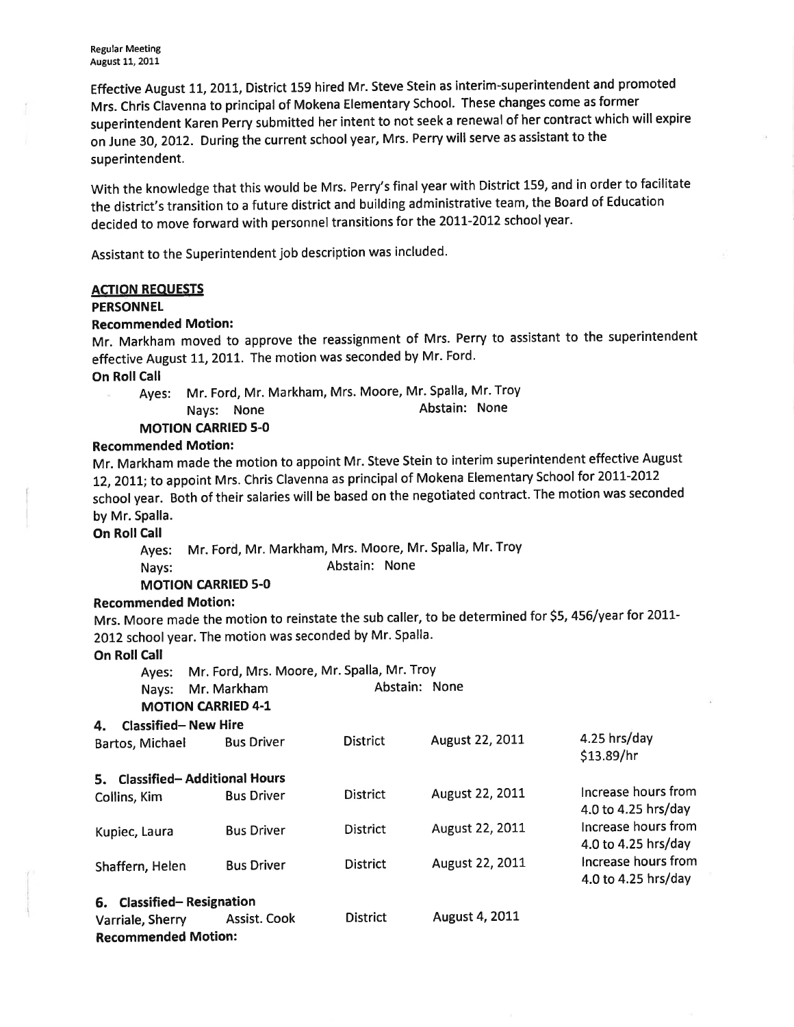Effective August 11, 2011, District 159 hired Mr. Steve Stein as interim-superintendent and promoted Mrs. Chris Clavenna to principal of Mokena Elementary School. These changes come as former superintendent Karen perry submitted her intent to not seek a renewal of her contract which will expire on June 30,2OI2. During the current school year, Mrs. Perry will serve as assistant to the superintendent.

With the knowledge that this would be Mrs. Perry's final year with District 159, and in order to facilitate the district's transition to a future district and building administrative team, the Board of Education decided to move forward with personnel transitions for the 2011-2012 school year.

Assistant to the Superintendent job description was included.

#### ACTION REOUESTS

#### **PERSONNEL**

#### Recommended Motion:

Mr. Markham moved to approve the reassignment of Mrs. Perry to assistant to the superintendent effective August 11, 2011. The motion was seconded by Mr. Ford.

### **On Roll Call**

Ayes: Mr. Ford, Mr. Markham, Mrs. Moore, Mr. Spalla, Mr. Troy Nays: None **Abstain:** None

**MOTION CARRIED 5-0** 

### Recommended Motion:

Mr. Markham made the motion to appoint Mr. Steve Stein to interim superintendent effective August 12, 2011; to appoint Mrs. Chris Clavenna as principal of Mokena Elementary School for 2011-2012 school year. Both of their salaries will be based on the negotiated contract. The motion was seconded by Mr. Spalla.

**On Roll Call** 

Ayes: Mr. Ford, Mr. Markham, Mrs. Moore, Mr. Spalla, Mr. Troy Nays: Abstain: None

### MOTION CARRIED 5.0

### Recommended Motion:

Mrs. Moore made the motion to reinstate the sub caller, to be determined for \$5, 456/year for 2011-2012 school year. The motion was seconded by Mr. Spalla.

On Roll Call

|    |                                                | Mr. Ford, Mrs. Moore, Mr. Spalla, Mr. Troy |                 |                 |                                            |  |
|----|------------------------------------------------|--------------------------------------------|-----------------|-----------------|--------------------------------------------|--|
|    | Ayes:<br>Nays:                                 | Mr. Markham<br><b>MOTION CARRIED 4-1</b>   | Abstain: None   |                 |                                            |  |
| 4. | <b>Classified-New Hire</b>                     |                                            |                 |                 |                                            |  |
|    | Bartos, Michael                                | <b>Bus Driver</b>                          | <b>District</b> | August 22, 2011 | 4.25 hrs/day<br>\$13.89/hr                 |  |
|    |                                                | 5. Classified-Additional Hours             |                 |                 |                                            |  |
|    | Collins, Kim                                   | <b>Bus Driver</b>                          | <b>District</b> | August 22, 2011 | Increase hours from<br>4.0 to 4.25 hrs/day |  |
|    | Kupiec, Laura                                  | <b>Bus Driver</b>                          | <b>District</b> | August 22, 2011 | Increase hours from<br>4.0 to 4.25 hrs/day |  |
|    | Shaffern, Helen                                | <b>Bus Driver</b>                          | <b>District</b> | August 22, 2011 | Increase hours from<br>4.0 to 4.25 hrs/day |  |
|    | 6. Classified-Resignation                      |                                            |                 |                 |                                            |  |
|    | Varriale, Sherry<br><b>Recommended Motion:</b> | Assist. Cook                               | <b>District</b> | August 4, 2011  |                                            |  |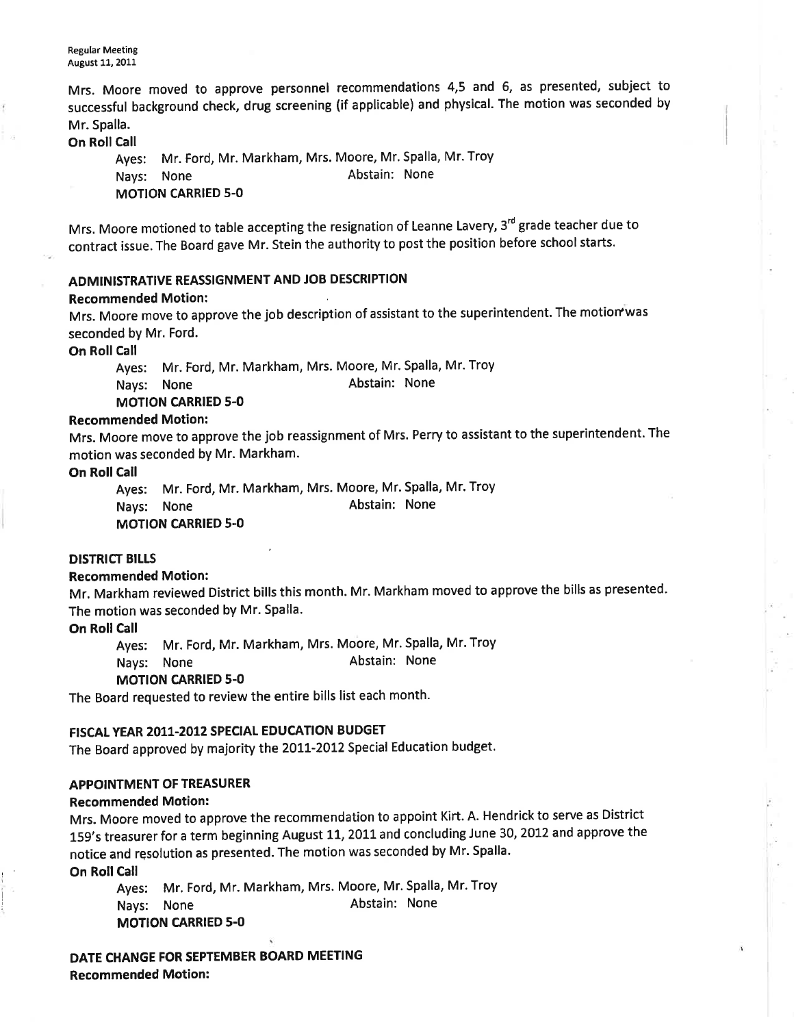**Regular Meeting** August 11, 2011

Mrs. Moore moved to approve personnel recommendations 4,5 and 6, as presented, subject to successful background check, drug screening (if applicable) and physical. The motion was seconded by Mr. Spalla.

**On Roll Call** 

Ayes: Mr. Ford, Mr. Markham, Mrs. Moore, Mr. Spalla, Mr. Troy Nays: None **Abstain:** None **MOTION CARRIED 5-0** 

Mrs. Moore motioned to table accepting the resignation of Leanne Lavery, 3<sup>rd</sup> grade teacher due to contract issue. The Board gave Mr. Stein the authority to post the position before school starts.

## ADMINISTRATIVE REASSIGNMENT AND JOB DESCRIPTION

#### Recommended Motion:

Mrs. Moore move to approve the job description of assistant to the superintendent. The motion was seconded by Mr. Ford.

On Roll Call

Ayes: Mr. Ford, Mr. Markham, Mrs. Moore, Mr. Spalla, Mr. Troy Nays: None **Abstain:** None MOTION CARRIED 5.0

### Recommended Motion:

Mrs. Moore move to approve the job reassignment of Mrs. Perry to assistant to the superintendent. The motion was seconded by Mr. Markham.

#### On Roll Call

Ayes: Mr. Ford, Mr. Markham, Mrs. Moore, Mr. Spalla, Mr. Troy Nays: None Abstain: None MOTION CARRIED 5-O

## DISTRICT BILLS

#### Recommended Motion:

Mr. Markham reviewed District bills this month. Mr. Markham moved to approve the bills as presented. The motion was seconded by Mr. Spalla.

On Roll Call

Ayes: Mr. Ford, Mr. Markham, Mrs. Moore, Mr. Spalla, Mr. Troy

Nays: None **Abstain:** None

#### MOTION CARRIED 5-O

The Board requested to review the entire bills list each month.

### FISCAL YEAR 2011-2012 SPECIAL EDUCATION BUDGET

The Board approved by majority the 2011-2012 Special Education budget.

#### APPOINTMENT OF TREASURER

#### Recommended Motion:

Mrs. Moore moved to approve the recommendation to appoint Kirt. A. Hendrick to serve as District 159's treasurer for a term beginning August 11, 2011 and concluding June 30, 2012 and approve the notice and resolution as presented. The motion was seconded by Mr. Spalla.

On Roll Call

nyes: Mr. Ford, Mr. Markham, Mrs. Moore, Mr. Spalla, Mr. Troy Nays: None **Abstain:** None MOTION CARRIED 5-O

DATE CHANGE FOR SEPTEMBER BOARD MEETING Recommended Motion: